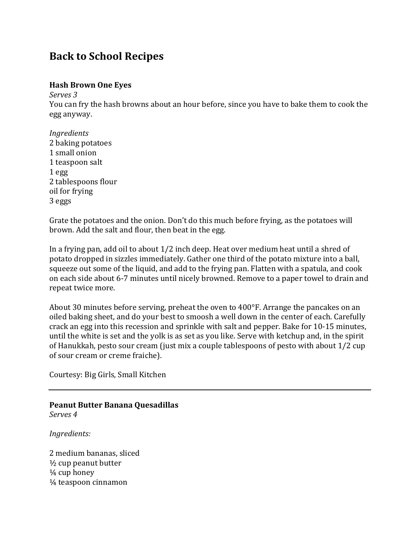# **Back to School Recipes**

#### **Hash Brown One Eyes**

*Serves 3*

You can fry the hash browns about an hour before, since you have to bake them to cook the egg anyway.

*Ingredients* 2 baking potatoes 1 small onion 1 teaspoon salt 1 egg 2 tablespoons flour oil for frying 3 eggs

Grate the potatoes and the onion. Don't do this much before frying, as the potatoes will brown. Add the salt and flour, then beat in the egg.

In a frying pan, add oil to about 1/2 inch deep. Heat over medium heat until a shred of potato dropped in sizzles immediately. Gather one third of the potato mixture into a ball, squeeze out some of the liquid, and add to the frying pan. Flatten with a spatula, and cook on each side about 6-7 minutes until nicely browned. Remove to a paper towel to drain and repeat twice more.

About 30 minutes before serving, preheat the oven to 400°F. Arrange the pancakes on an oiled baking sheet, and do your best to smoosh a well down in the center of each. Carefully crack an egg into this recession and sprinkle with salt and pepper. Bake for 10-15 minutes, until the white is s[et](http://www.biggirlssmallkitchen.com/2009/04/cooking-for-others-non-picnic-brunch.html) an[d t](http://www.biggirlssmallkitchen.com/2009/04/cooking-for-others-non-picnic-brunch.html)he yolk is as set as you like. Serve with ketchup and, in the spirit of Hanukkah, pesto [sour](http://www.biggirlssmallkitchen.com/2009/04/cooking-for-others-non-picnic-brunch.html) [cream](http://www.biggirlssmallkitchen.com/2009/04/cooking-for-others-non-picnic-brunch.html) (just mix a couple tablespoons of pesto with about 1/2 cup of sour cream or creme fraiche).

Courtesy: Big Girls, Small Kitchen

**Peanut Butter Banana Quesadillas** *Serves 4*

*Ingredients:*

2 medium bananas, sliced ½ cup peanut butter ¼ cup honey ¼ teaspoon cinnamon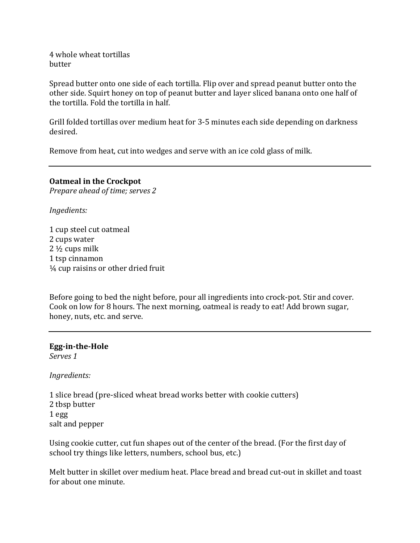4 whole wheat tortillas butter

Spread butter onto one side of each tortilla. Flip over and spread peanut butter onto the other side. Squirt honey on top of peanut butter and layer sliced banana onto one half of the tortilla. Fold the tortilla in half.

Grill folded tortillas over medium heat for 3-5 minutes each side depending on darkness desired.

Remove from heat, cut into wedges and serve with an ice cold glass of milk.

### **Oatmeal in the Crockpot**

*Prepare ahead of time; serves 2*

*Ingedients:*

1 cup steel cut oatmeal 2 cups water 2 ½ cups milk 1 tsp cinnamon ¼ cup raisins or other dried fruit

Before going to bed the night before, pour all ingredients into crock-pot. Stir and cover. Cook on low for 8 hours. The next morning, oatmeal is ready to eat! Add brown sugar, honey, nuts, etc. and serve.

## **Egg-in-the-Hole**

*Serves 1*

*Ingredients:*

1 slice bread (pre-sliced wheat bread works better with cookie cutters) 2 tbsp butter 1 egg salt and pepper

Using cookie cutter, cut fun shapes out of the center of the bread. (For the first day of school try things like letters, numbers, school bus, etc.)

Melt butter in skillet over medium heat. Place bread and bread cut-out in skillet and toast for about one minute.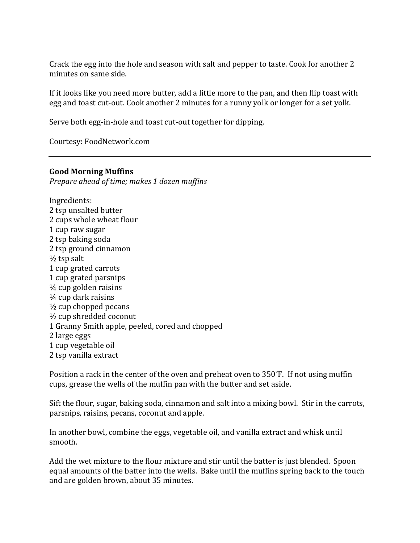Crack the egg into the hole and season with salt and pepper to taste. Cook for another 2 minutes on same side.

If it looks like you need more butter, add a little more to the pan, and then flip toast with egg and toast cut-out. Cook another 2 minutes for a runny yolk or longer for a set yolk.

Serve both egg-in-hole and toast cut-out together for dipping.

Courtesy: FoodNetwork.com

#### **Good Morning Muffins**

*Prepare ahead of time; makes 1 dozen muffins*

Ingredients: 2 tsp unsalted butter 2 cups whole wheat flour 1 cup raw sugar 2 tsp baking soda 2 tsp ground cinnamon  $\frac{1}{2}$  tsp salt 1 cup grated carrots 1 cup grated parsnips  $\frac{1}{4}$  cup golden raisins ¼ cup dark raisins ½ cup chopped pecans ½ cup shredded coconut 1 Granny Smith apple, peeled, cored and chopped 2 large eggs 1 cup vegetable oil 2 tsp vanilla extract

Position a rack in the center of the oven and preheat oven to 350˚F. If not using muffin cups, grease the wells of the muffin pan with the butter and set aside.

Sift the flour, sugar, baking soda, cinnamon and salt into a mixing bowl. Stir in the carrots, parsnips, raisins, pecans, coconut and apple.

In another bowl, combine the eggs, vegetable oil, and vanilla extract and whisk until smooth.

Add the wet mixture to the flour mixture and stir until the batter is just blended. Spoon equal amounts of the batter into the wells. Bake until the muffins spring back to the touch and are golden brown, about 35 minutes.